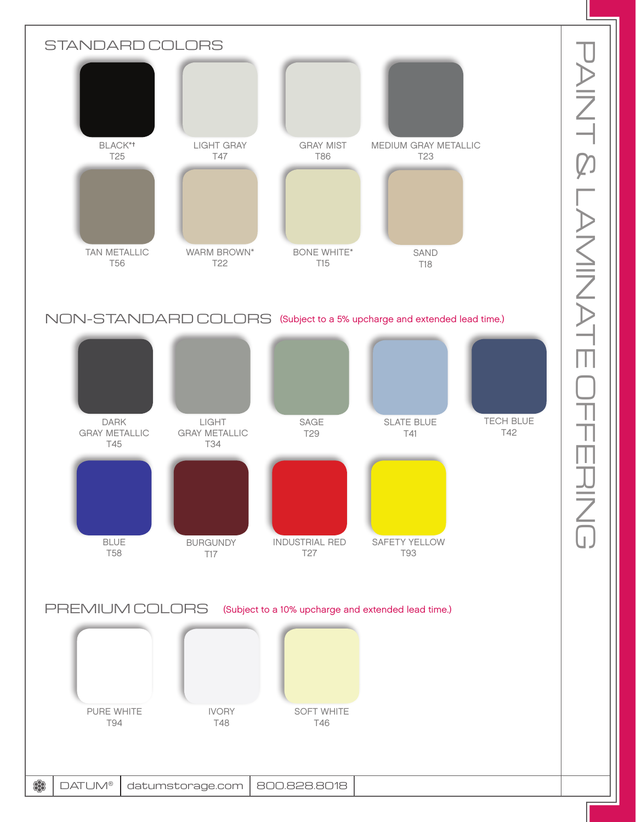